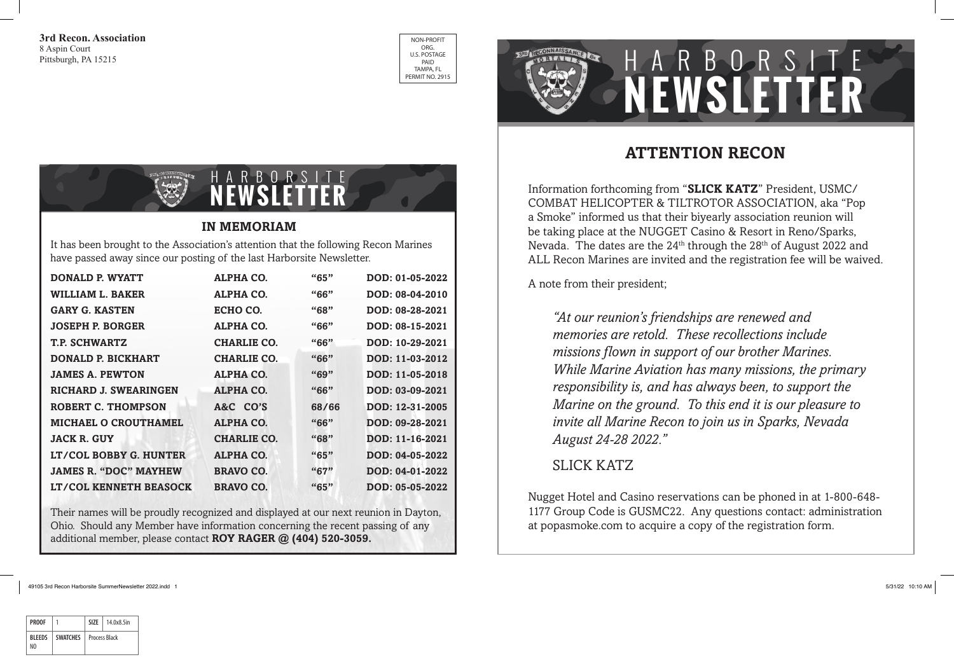**3rd Recon. Association** 8 Aspin Court Pittsburgh, PA 15215



# **NEWSLETTER** HARBORSITE



It has been brought to the Association's attention that the following Recon Marines have passed away since our posting of the last Harborsite Newsletter.

| <b>DONALD P. WYATT</b>        | <b>ALPHA CO.</b>   | ``65" | DOD: 01-05-2022 |
|-------------------------------|--------------------|-------|-----------------|
| <b>WILLIAM L. BAKER</b>       | <b>ALPHA CO.</b>   | "66"  | DOD: 08-04-2010 |
| <b>GARY G. KASTEN</b>         | ECHO CO.           | "68"  | DOD: 08-28-2021 |
| <b>JOSEPH P. BORGER</b>       | ALPHA CO.          | "66"  | DOD: 08-15-2021 |
| <b>T.P. SCHWARTZ</b>          | <b>CHARLIE CO.</b> | "66"  | DOD: 10-29-2021 |
| <b>DONALD P. BICKHART</b>     | <b>CHARLIE CO.</b> | "66"  | DOD: 11-03-2012 |
| <b>JAMES A. PEWTON</b>        | <b>ALPHA CO.</b>   | "69"  | DOD: 11-05-2018 |
| <b>RICHARD J. SWEARINGEN</b>  | <b>ALPHA CO.</b>   | "66"  | DOD: 03-09-2021 |
| ROBERT C. THOMPSON            | A&C CO'S           | 68/66 | DOD: 12-31-2005 |
| <b>MICHAEL O CROUTHAMEL</b>   | <b>ALPHA CO.</b>   | "66"  | DOD: 09-28-2021 |
| <b>JACK R. GUY</b>            | <b>CHARLIE CO.</b> | "68"  | DOD: 11-16-2021 |
| LT/COL BOBBY G. HUNTER        | <b>ALPHA CO.</b>   | "65"  | DOD: 04-05-2022 |
| <b>JAMES R. "DOC" MAYHEW</b>  | <b>BRAVO CO.</b>   | "67"  | DOD: 04-01-2022 |
| <b>LT/COL KENNETH BEASOCK</b> | <b>BRAVO CO.</b>   | "65"  | DOD: 05-05-2022 |

Their names will be proudly recognized and displayed at our next reunion in Dayton, Ohio. Should any Member have information concerning the recent passing of any additional member, please contact **ROY RAGER @ (404) 520-3059.**

## **ATTENTION RECON**

Information forthcoming from "**SLICK KATZ**" President, USMC/ COMBAT HELICOPTER & TILTROTOR ASSOCIATION, aka "Pop a Smoke" informed us that their biyearly association reunion will be taking place at the NUGGET Casino & Resort in Reno/Sparks, Nevada. The dates are the 24<sup>th</sup> through the 28<sup>th</sup> of August 2022 and ALL Recon Marines are invited and the registration fee will be waived.

A note from their president;

*"At our reunion's friendships are renewed and memories are retold. These recollections include missions flown in support of our brother Marines. While Marine Aviation has many missions, the primary responsibility is, and has always been, to support the Marine on the ground. To this end it is our pleasure to invite all Marine Recon to join us in Sparks, Nevada August 24-28 2022."* 

#### SLICK KATZ

Nugget Hotel and Casino reservations can be phoned in at 1-800-648- 1177 Group Code is GUSMC22. Any questions contact: administration at popasmoke.com to acquire a copy of the registration form.

49105 3rd Recon Harborsite SummerNewsletter 2022.indd 1 5/31/22 10:10 AM

| <b>PROOF</b>   |                 | SI7F                 | 14.0x8.5in |
|----------------|-----------------|----------------------|------------|
| <b>BI FFDS</b> | <b>SWATCHES</b> | <b>Process Black</b> |            |
| NΩ             |                 |                      |            |